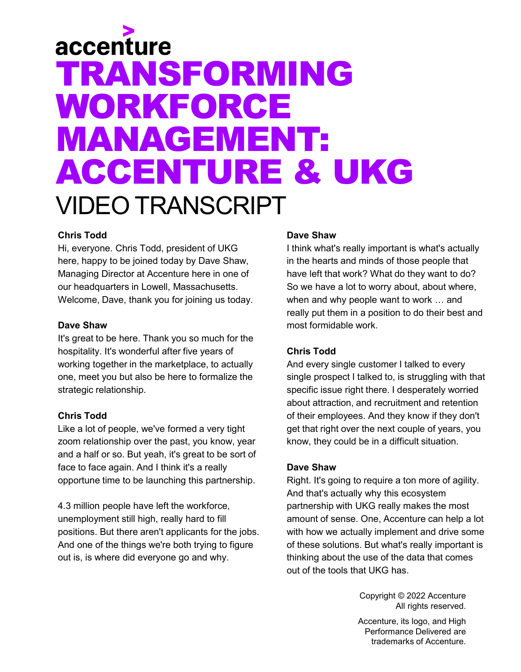# accenture TRANSFORMING WORKFORCE MANAGEMENT: ACCENTURE & UKG VIDEO TRANSCRIPT

# **Chris Todd**

Hi, everyone. Chris Todd, president of UKG here, happy to be joined today by Dave Shaw, Managing Director at Accenture here in one of our headquarters in Lowell, Massachusetts. Welcome, Dave, thank you for joining us today.

#### **Dave Shaw**

It's great to be here. Thank you so much for the hospitality. It's wonderful after five years of working together in the marketplace, to actually one, meet you but also be here to formalize the strategic relationship.

# **Chris Todd**

Like a lot of people, we've formed a very tight zoom relationship over the past, you know, year and a half or so. But yeah, it's great to be sort of face to face again. And I think it's a really opportune time to be launching this partnership.

4.3 million people have left the workforce, unemployment still high, really hard to fill positions. But there aren't applicants for the jobs. And one of the things we're both trying to figure out is, is where did everyone go and why.

# **Dave Shaw**

I think what's really important is what's actually in the hearts and minds of those people that have left that work? What do they want to do? So we have a lot to worry about, about where, when and why people want to work … and really put them in a position to do their best and most formidable work.

# **Chris Todd**

And every single customer I talked to every single prospect I talked to, is struggling with that specific issue right there. I desperately worried about attraction, and recruitment and retention of their employees. And they know if they don't get that right over the next couple of years, you know, they could be in a difficult situation.

# **Dave Shaw**

Right. It's going to require a ton more of agility. And that's actually why this ecosystem partnership with UKG really makes the most amount of sense. One, Accenture can help a lot with how we actually implement and drive some of these solutions. But what's really important is thinking about the use of the data that comes out of the tools that UKG has.

> Copyright © 2022 Accenture All rights reserved. Accenture, its logo, and High Performance Delivered are trademarks of Accenture.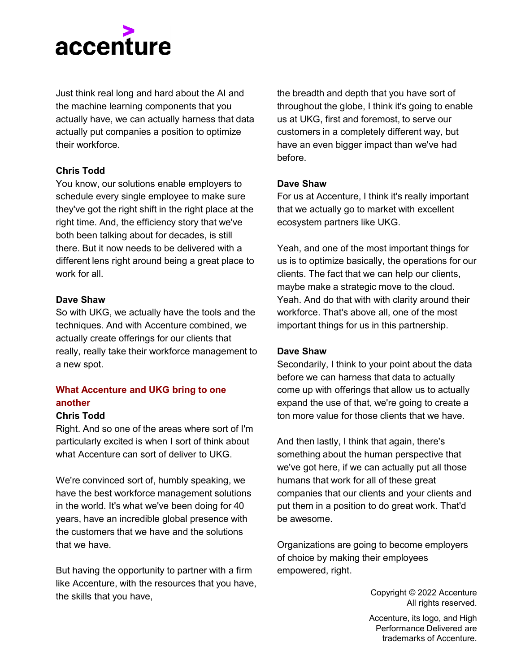

Just think real long and hard about the AI and the machine learning components that you actually have, we can actually harness that data actually put companies a position to optimize their workforce.

#### **Chris Todd**

You know, our solutions enable employers to schedule every single employee to make sure they've got the right shift in the right place at the right time. And, the efficiency story that we've both been talking about for decades, is still there. But it now needs to be delivered with a different lens right around being a great place to work for all.

#### **Dave Shaw**

So with UKG, we actually have the tools and the techniques. And with Accenture combined, we actually create offerings for our clients that really, really take their workforce management to a new spot.

# **What Accenture and UKG bring to one another**

#### **Chris Todd**

Right. And so one of the areas where sort of I'm particularly excited is when I sort of think about what Accenture can sort of deliver to UKG.

We're convinced sort of, humbly speaking, we have the best workforce management solutions in the world. It's what we've been doing for 40 years, have an incredible global presence with the customers that we have and the solutions that we have.

But having the opportunity to partner with a firm like Accenture, with the resources that you have, the skills that you have,

the breadth and depth that you have sort of throughout the globe, I think it's going to enable us at UKG, first and foremost, to serve our customers in a completely different way, but have an even bigger impact than we've had before.

#### **Dave Shaw**

For us at Accenture, I think it's really important that we actually go to market with excellent ecosystem partners like UKG.

Yeah, and one of the most important things for us is to optimize basically, the operations for our clients. The fact that we can help our clients, maybe make a strategic move to the cloud. Yeah. And do that with with clarity around their workforce. That's above all, one of the most important things for us in this partnership.

#### **Dave Shaw**

Secondarily, I think to your point about the data before we can harness that data to actually come up with offerings that allow us to actually expand the use of that, we're going to create a ton more value for those clients that we have.

And then lastly, I think that again, there's something about the human perspective that we've got here, if we can actually put all those humans that work for all of these great companies that our clients and your clients and put them in a position to do great work. That'd be awesome.

Organizations are going to become employers of choice by making their employees empowered, right.

> Copyright © 2022 Accenture All rights reserved.

Accenture, its logo, and High Performance Delivered are trademarks of Accenture.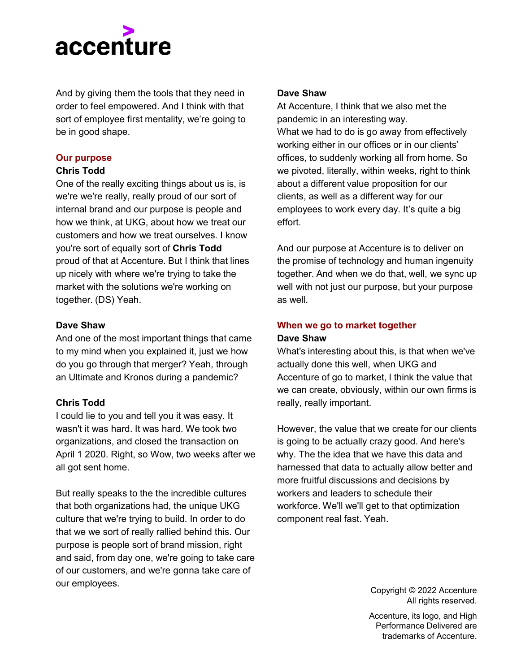

And by giving them the tools that they need in order to feel empowered. And I think with that sort of employee first mentality, we're going to be in good shape.

#### **Our purpose**

#### **Chris Todd**

One of the really exciting things about us is, is we're we're really, really proud of our sort of internal brand and our purpose is people and how we think, at UKG, about how we treat our customers and how we treat ourselves. I know you're sort of equally sort of **Chris Todd**  proud of that at Accenture. But I think that lines up nicely with where we're trying to take the market with the solutions we're working on together. (DS) Yeah.

#### **Dave Shaw**

And one of the most important things that came to my mind when you explained it, just we how do you go through that merger? Yeah, through an Ultimate and Kronos during a pandemic?

# **Chris Todd**

I could lie to you and tell you it was easy. It wasn't it was hard. It was hard. We took two organizations, and closed the transaction on April 1 2020. Right, so Wow, two weeks after we all got sent home.

But really speaks to the the incredible cultures that both organizations had, the unique UKG culture that we're trying to build. In order to do that we we sort of really rallied behind this. Our purpose is people sort of brand mission, right and said, from day one, we're going to take care of our customers, and we're gonna take care of our employees.

#### **Dave Shaw**

At Accenture, I think that we also met the pandemic in an interesting way. What we had to do is go away from effectively working either in our offices or in our clients' offices, to suddenly working all from home. So we pivoted, literally, within weeks, right to think about a different value proposition for our clients, as well as a different way for our employees to work every day. It's quite a big effort.

And our purpose at Accenture is to deliver on the promise of technology and human ingenuity together. And when we do that, well, we sync up well with not just our purpose, but your purpose as well.

# **When we go to market together Dave Shaw**

What's interesting about this, is that when we've actually done this well, when UKG and Accenture of go to market, I think the value that we can create, obviously, within our own firms is really, really important.

However, the value that we create for our clients is going to be actually crazy good. And here's why. The the idea that we have this data and harnessed that data to actually allow better and more fruitful discussions and decisions by workers and leaders to schedule their workforce. We'll we'll get to that optimization component real fast. Yeah.

> Copyright © 2022 Accenture All rights reserved.

Accenture, its logo, and High Performance Delivered are trademarks of Accenture.